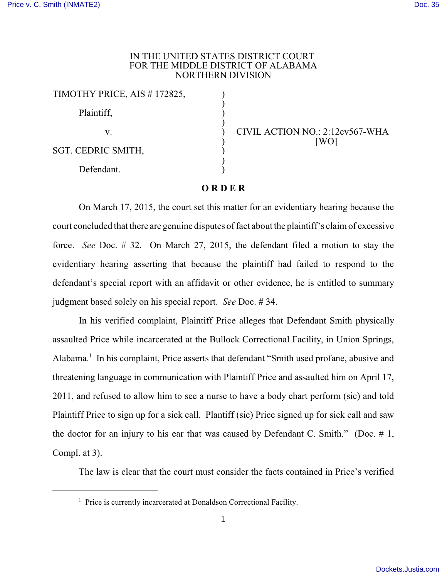## IN THE UNITED STATES DISTRICT COURT FOR THE MIDDLE DISTRICT OF ALABAMA NORTHERN DIVISION

| TIMOTHY PRICE, AIS #172825, |  |
|-----------------------------|--|
| Plaintiff,                  |  |
| V.                          |  |
| SGT. CEDRIC SMITH,          |  |
| Defendant.                  |  |

CIVIL ACTION NO.: 2:12cv567-WHA  $[WO]$ 

## **O R D E R**

On March 17, 2015, the court set this matter for an evidentiary hearing because the court concluded that there are genuine disputes of fact about the plaintiff's claim of excessive force. *See* Doc. # 32. On March 27, 2015, the defendant filed a motion to stay the evidentiary hearing asserting that because the plaintiff had failed to respond to the defendant's special report with an affidavit or other evidence, he is entitled to summary judgment based solely on his special report. *See* Doc. # 34.

In his verified complaint, Plaintiff Price alleges that Defendant Smith physically assaulted Price while incarcerated at the Bullock Correctional Facility, in Union Springs, Alabama.<sup>1</sup> In his complaint, Price asserts that defendant "Smith used profane, abusive and threatening language in communication with Plaintiff Price and assaulted him on April 17, 2011, and refused to allow him to see a nurse to have a body chart perform (sic) and told Plaintiff Price to sign up for a sick call. Plantiff (sic) Price signed up for sick call and saw the doctor for an injury to his ear that was caused by Defendant C. Smith." (Doc.  $\#$  1, Compl. at 3).

The law is clear that the court must consider the facts contained in Price's verified

 $<sup>1</sup>$  Price is currently incarcerated at Donaldson Correctional Facility.</sup>